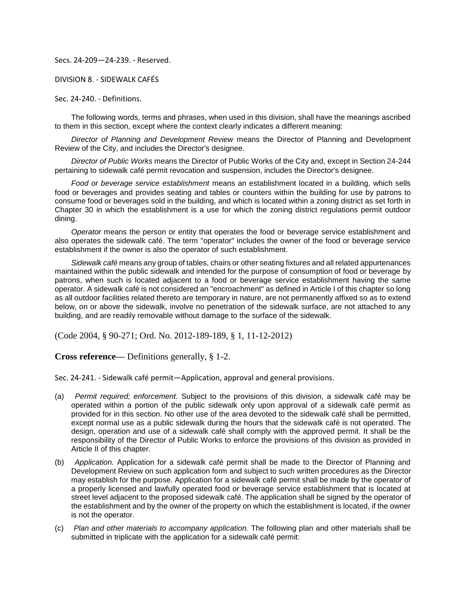Secs. 24-209—24-239. - Reserved.

DIVISION 8. - SIDEWALK CAFÉS

Sec. 24-240. - Definitions.

The following words, terms and phrases, when used in this division, shall have the meanings ascribed to them in this section, except where the context clearly indicates a different meaning:

*Director of Planning and Development Review* means the Director of Planning and Development Review of the City, and includes the Director's designee.

*Director of Public Works* means the Director of Public Works of the City and, except in Section 24-244 pertaining to sidewalk café permit revocation and suspension, includes the Director's designee.

*Food or beverage service establishment* means an establishment located in a building, which sells food or beverages and provides seating and tables or counters within the building for use by patrons to consume food or beverages sold in the building, and which is located within a zoning district as set forth in Chapter 30 in which the establishment is a use for which the zoning district regulations permit outdoor dining.

*Operator* means the person or entity that operates the food or beverage service establishment and also operates the sidewalk café. The term "operator" includes the owner of the food or beverage service establishment if the owner is also the operator of such establishment.

*Sidewalk café* means any group of tables, chairs or other seating fixtures and all related appurtenances maintained within the public sidewalk and intended for the purpose of consumption of food or beverage by patrons, when such is located adjacent to a food or beverage service establishment having the same operator. A sidewalk café is not considered an "encroachment" as defined in Article I of this chapter so long as all outdoor facilities related thereto are temporary in nature, are not permanently affixed so as to extend below, on or above the sidewalk, involve no penetration of the sidewalk surface, are not attached to any building, and are readily removable without damage to the surface of the sidewalk.

(Code 2004, § 90-271; Ord. No. 2012-189-189, § 1, 11-12-2012)

**Cross reference—** Definitions generally, § 1-2.

Sec. 24-241. - Sidewalk café permit—Application, approval and general provisions.

- (a) *Permit required; enforcement.* Subject to the provisions of this division, a sidewalk café may be operated within a portion of the public sidewalk only upon approval of a sidewalk café permit as provided for in this section. No other use of the area devoted to the sidewalk café shall be permitted, except normal use as a public sidewalk during the hours that the sidewalk café is not operated. The design, operation and use of a sidewalk café shall comply with the approved permit. It shall be the responsibility of the Director of Public Works to enforce the provisions of this division as provided in Article II of this chapter.
- (b) *Application.* Application for a sidewalk café permit shall be made to the Director of Planning and Development Review on such application form and subject to such written procedures as the Director may establish for the purpose. Application for a sidewalk café permit shall be made by the operator of a properly licensed and lawfully operated food or beverage service establishment that is located at street level adjacent to the proposed sidewalk café. The application shall be signed by the operator of the establishment and by the owner of the property on which the establishment is located, if the owner is not the operator.
- (c) *Plan and other materials to accompany application.* The following plan and other materials shall be submitted in triplicate with the application for a sidewalk café permit: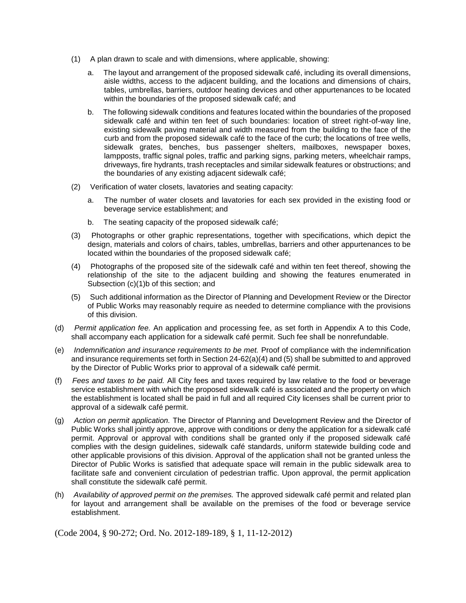- (1) A plan drawn to scale and with dimensions, where applicable, showing:
	- a. The layout and arrangement of the proposed sidewalk café, including its overall dimensions, aisle widths, access to the adjacent building, and the locations and dimensions of chairs, tables, umbrellas, barriers, outdoor heating devices and other appurtenances to be located within the boundaries of the proposed sidewalk café; and
	- b. The following sidewalk conditions and features located within the boundaries of the proposed sidewalk café and within ten feet of such boundaries: location of street right-of-way line, existing sidewalk paving material and width measured from the building to the face of the curb and from the proposed sidewalk café to the face of the curb; the locations of tree wells, sidewalk grates, benches, bus passenger shelters, mailboxes, newspaper boxes, lampposts, traffic signal poles, traffic and parking signs, parking meters, wheelchair ramps, driveways, fire hydrants, trash receptacles and similar sidewalk features or obstructions; and the boundaries of any existing adjacent sidewalk café;
- (2) Verification of water closets, lavatories and seating capacity:
	- a. The number of water closets and lavatories for each sex provided in the existing food or beverage service establishment; and
	- b. The seating capacity of the proposed sidewalk café;
- (3) Photographs or other graphic representations, together with specifications, which depict the design, materials and colors of chairs, tables, umbrellas, barriers and other appurtenances to be located within the boundaries of the proposed sidewalk café;
- (4) Photographs of the proposed site of the sidewalk café and within ten feet thereof, showing the relationship of the site to the adjacent building and showing the features enumerated in Subsection (c)(1)b of this section; and
- (5) Such additional information as the Director of Planning and Development Review or the Director of Public Works may reasonably require as needed to determine compliance with the provisions of this division.
- (d) *Permit application fee.* An application and processing fee, as set forth in Appendix A to this Code, shall accompany each application for a sidewalk café permit. Such fee shall be nonrefundable.
- (e) *Indemnification and insurance requirements to be met.* Proof of compliance with the indemnification and insurance requirements set forth in Section 24-62(a)(4) and (5) shall be submitted to and approved by the Director of Public Works prior to approval of a sidewalk café permit.
- (f) *Fees and taxes to be paid.* All City fees and taxes required by law relative to the food or beverage service establishment with which the proposed sidewalk café is associated and the property on which the establishment is located shall be paid in full and all required City licenses shall be current prior to approval of a sidewalk café permit.
- (g) *Action on permit application.* The Director of Planning and Development Review and the Director of Public Works shall jointly approve, approve with conditions or deny the application for a sidewalk café permit. Approval or approval with conditions shall be granted only if the proposed sidewalk café complies with the design guidelines, sidewalk café standards, uniform statewide building code and other applicable provisions of this division. Approval of the application shall not be granted unless the Director of Public Works is satisfied that adequate space will remain in the public sidewalk area to facilitate safe and convenient circulation of pedestrian traffic. Upon approval, the permit application shall constitute the sidewalk café permit.
- (h) *Availability of approved permit on the premises.* The approved sidewalk café permit and related plan for layout and arrangement shall be available on the premises of the food or beverage service establishment.

(Code 2004, § 90-272; Ord. No. 2012-189-189, § 1, 11-12-2012)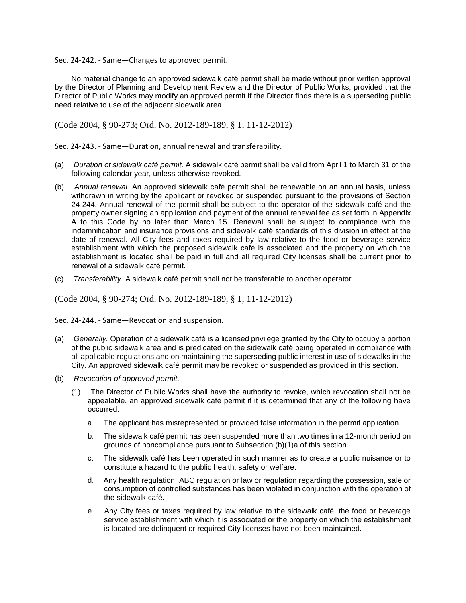Sec. 24-242. - Same—Changes to approved permit.

No material change to an approved sidewalk café permit shall be made without prior written approval by the Director of Planning and Development Review and the Director of Public Works, provided that the Director of Public Works may modify an approved permit if the Director finds there is a superseding public need relative to use of the adjacent sidewalk area.

(Code 2004, § 90-273; Ord. No. 2012-189-189, § 1, 11-12-2012)

Sec. 24-243. - Same—Duration, annual renewal and transferability.

- (a) *Duration of sidewalk café permit.* A sidewalk café permit shall be valid from April 1 to March 31 of the following calendar year, unless otherwise revoked.
- (b) *Annual renewal.* An approved sidewalk café permit shall be renewable on an annual basis, unless withdrawn in writing by the applicant or revoked or suspended pursuant to the provisions of Section 24-244. Annual renewal of the permit shall be subject to the operator of the sidewalk café and the property owner signing an application and payment of the annual renewal fee as set forth in Appendix A to this Code by no later than March 15. Renewal shall be subject to compliance with the indemnification and insurance provisions and sidewalk café standards of this division in effect at the date of renewal. All City fees and taxes required by law relative to the food or beverage service establishment with which the proposed sidewalk café is associated and the property on which the establishment is located shall be paid in full and all required City licenses shall be current prior to renewal of a sidewalk café permit.
- (c) *Transferability.* A sidewalk café permit shall not be transferable to another operator.

(Code 2004, § 90-274; Ord. No. 2012-189-189, § 1, 11-12-2012)

Sec. 24-244. - Same—Revocation and suspension.

- (a) *Generally.* Operation of a sidewalk café is a licensed privilege granted by the City to occupy a portion of the public sidewalk area and is predicated on the sidewalk café being operated in compliance with all applicable regulations and on maintaining the superseding public interest in use of sidewalks in the City. An approved sidewalk café permit may be revoked or suspended as provided in this section.
- (b) *Revocation of approved permit.*
	- (1) The Director of Public Works shall have the authority to revoke, which revocation shall not be appealable, an approved sidewalk café permit if it is determined that any of the following have occurred:
		- a. The applicant has misrepresented or provided false information in the permit application.
		- b. The sidewalk café permit has been suspended more than two times in a 12-month period on grounds of noncompliance pursuant to Subsection (b)(1)a of this section.
		- c. The sidewalk café has been operated in such manner as to create a public nuisance or to constitute a hazard to the public health, safety or welfare.
		- d. Any health regulation, ABC regulation or law or regulation regarding the possession, sale or consumption of controlled substances has been violated in conjunction with the operation of the sidewalk café.
		- e. Any City fees or taxes required by law relative to the sidewalk café, the food or beverage service establishment with which it is associated or the property on which the establishment is located are delinquent or required City licenses have not been maintained.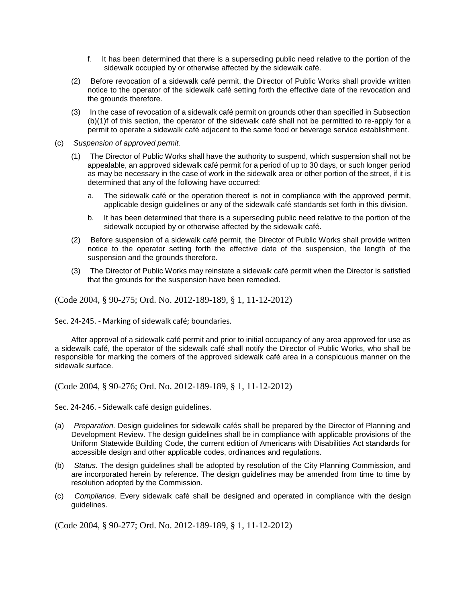- f. It has been determined that there is a superseding public need relative to the portion of the sidewalk occupied by or otherwise affected by the sidewalk café.
- (2) Before revocation of a sidewalk café permit, the Director of Public Works shall provide written notice to the operator of the sidewalk café setting forth the effective date of the revocation and the grounds therefore.
- (3) In the case of revocation of a sidewalk café permit on grounds other than specified in Subsection (b)(1)f of this section, the operator of the sidewalk café shall not be permitted to re-apply for a permit to operate a sidewalk café adjacent to the same food or beverage service establishment.
- (c) *Suspension of approved permit.*
	- (1) The Director of Public Works shall have the authority to suspend, which suspension shall not be appealable, an approved sidewalk café permit for a period of up to 30 days, or such longer period as may be necessary in the case of work in the sidewalk area or other portion of the street, if it is determined that any of the following have occurred:
		- a. The sidewalk café or the operation thereof is not in compliance with the approved permit, applicable design guidelines or any of the sidewalk café standards set forth in this division.
		- b. It has been determined that there is a superseding public need relative to the portion of the sidewalk occupied by or otherwise affected by the sidewalk café.
	- (2) Before suspension of a sidewalk café permit, the Director of Public Works shall provide written notice to the operator setting forth the effective date of the suspension, the length of the suspension and the grounds therefore.
	- (3) The Director of Public Works may reinstate a sidewalk café permit when the Director is satisfied that the grounds for the suspension have been remedied.

(Code 2004, § 90-275; Ord. No. 2012-189-189, § 1, 11-12-2012)

Sec. 24-245. - Marking of sidewalk café; boundaries.

After approval of a sidewalk café permit and prior to initial occupancy of any area approved for use as a sidewalk café, the operator of the sidewalk café shall notify the Director of Public Works, who shall be responsible for marking the corners of the approved sidewalk café area in a conspicuous manner on the sidewalk surface.

(Code 2004, § 90-276; Ord. No. 2012-189-189, § 1, 11-12-2012)

Sec. 24-246. - Sidewalk café design guidelines.

- (a) *Preparation.* Design guidelines for sidewalk cafés shall be prepared by the Director of Planning and Development Review. The design guidelines shall be in compliance with applicable provisions of the Uniform Statewide Building Code, the current edition of Americans with Disabilities Act standards for accessible design and other applicable codes, ordinances and regulations.
- (b) *Status.* The design guidelines shall be adopted by resolution of the City Planning Commission, and are incorporated herein by reference. The design guidelines may be amended from time to time by resolution adopted by the Commission.
- (c) *Compliance.* Every sidewalk café shall be designed and operated in compliance with the design guidelines.

(Code 2004, § 90-277; Ord. No. 2012-189-189, § 1, 11-12-2012)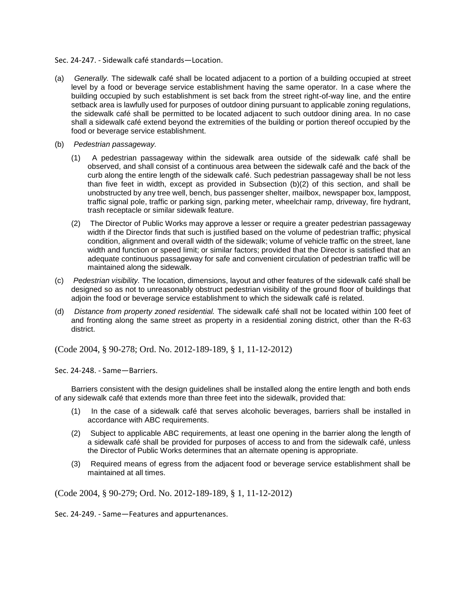Sec. 24-247. - Sidewalk café standards—Location.

- (a) *Generally.* The sidewalk café shall be located adjacent to a portion of a building occupied at street level by a food or beverage service establishment having the same operator. In a case where the building occupied by such establishment is set back from the street right-of-way line, and the entire setback area is lawfully used for purposes of outdoor dining pursuant to applicable zoning regulations, the sidewalk café shall be permitted to be located adjacent to such outdoor dining area. In no case shall a sidewalk café extend beyond the extremities of the building or portion thereof occupied by the food or beverage service establishment.
- (b) *Pedestrian passageway.*
	- (1) A pedestrian passageway within the sidewalk area outside of the sidewalk café shall be observed, and shall consist of a continuous area between the sidewalk café and the back of the curb along the entire length of the sidewalk café. Such pedestrian passageway shall be not less than five feet in width, except as provided in Subsection (b)(2) of this section, and shall be unobstructed by any tree well, bench, bus passenger shelter, mailbox, newspaper box, lamppost, traffic signal pole, traffic or parking sign, parking meter, wheelchair ramp, driveway, fire hydrant, trash receptacle or similar sidewalk feature.
	- (2) The Director of Public Works may approve a lesser or require a greater pedestrian passageway width if the Director finds that such is justified based on the volume of pedestrian traffic; physical condition, alignment and overall width of the sidewalk; volume of vehicle traffic on the street, lane width and function or speed limit; or similar factors; provided that the Director is satisfied that an adequate continuous passageway for safe and convenient circulation of pedestrian traffic will be maintained along the sidewalk.
- (c) *Pedestrian visibility.* The location, dimensions, layout and other features of the sidewalk café shall be designed so as not to unreasonably obstruct pedestrian visibility of the ground floor of buildings that adjoin the food or beverage service establishment to which the sidewalk café is related.
- (d) *Distance from property zoned residential.* The sidewalk café shall not be located within 100 feet of and fronting along the same street as property in a residential zoning district, other than the R-63 district.

(Code 2004, § 90-278; Ord. No. 2012-189-189, § 1, 11-12-2012)

Sec. 24-248. - Same—Barriers.

Barriers consistent with the design guidelines shall be installed along the entire length and both ends of any sidewalk café that extends more than three feet into the sidewalk, provided that:

- (1) In the case of a sidewalk café that serves alcoholic beverages, barriers shall be installed in accordance with ABC requirements.
- (2) Subject to applicable ABC requirements, at least one opening in the barrier along the length of a sidewalk café shall be provided for purposes of access to and from the sidewalk café, unless the Director of Public Works determines that an alternate opening is appropriate.
- (3) Required means of egress from the adjacent food or beverage service establishment shall be maintained at all times.

(Code 2004, § 90-279; Ord. No. 2012-189-189, § 1, 11-12-2012)

Sec. 24-249. - Same—Features and appurtenances.